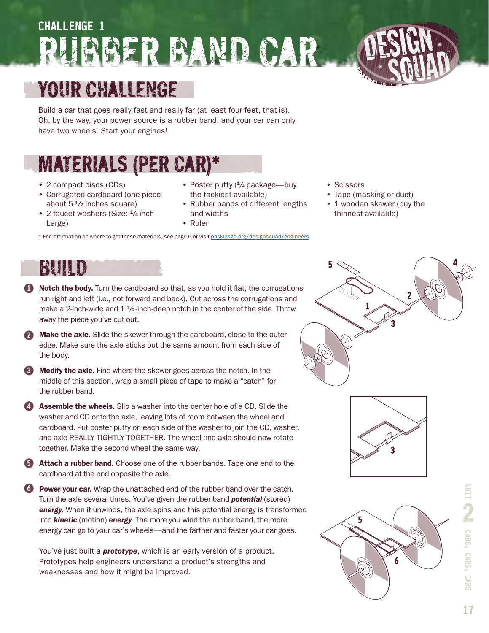# **challenge 1** Rubber Band Car



Build a car that goes really fast and really far (at least four feet, that is). Oh, by the way, your power source is a rubber band, and your car can only have two wheels. Start your engines!

### Materials (per car)\*

- 2 compact discs (CDs)
- Corrugated cardboard (one piece about  $5\frac{1}{2}$  inches square)
- 2 faucet washers (Size:  $\frac{1}{4}$  inch Large)
- Poster putty (<sup>1</sup>/<sub>4</sub> package—buy the tackiest available)
- Rubber bands of different lengths and widths
- Ruler
- \* For information on where to get these materials, see page 6 or visit [pbskidsgo.org/designsquad/engineers](http://www.pbskidsgo.org/designsquad/engineers).
- Scissors
- Tape (masking or duct)
- 1 wooden skewer (buy the thinnest available)

#### Build

- **1** Notch the body. Turn the cardboard so that, as you hold it flat, the corrugations run right and left (i.e., not forward and back). Cut across the corrugations and make a 2-inch-wide and  $1\frac{4}{2}$ -inch-deep notch in the center of the side. Throw away the piece you've cut out.
- **2 Make the axle.** Slide the skewer through the cardboard, close to the outer edge. Make sure the axle sticks out the same amount from each side of the body.
- **3 Modify the axle.** Find where the skewer goes across the notch. In the middle of this section, wrap a small piece of tape to make a "catch" for the rubber band.
- **4** Assemble the wheels. Slip a washer into the center hole of a CD. Slide the washer and CD onto the axle, leaving lots of room between the wheel and cardboard. Put poster putty on each side of the washer to join the CD, washer, and axle REALLY TIGHTLY TOGETHER. The wheel and axle should now rotate together. Make the second wheel the same way.
- **5** Attach a rubber band. Choose one of the rubber bands. Tape one end to the cardboard at the end opposite the axle.
- **6** Power your car. Wrap the unattached end of the rubber band over the catch. Turn the axle several times. You've given the rubber band *potential* (stored) *energy*. When it unwinds, the axle spins and this potential energy is transformed into *kinetic* (motion) *energy*. The more you wind the rubber band, the more energy can go to your car's wheels—and the farther and faster your car goes.
	- You've just built a *prototype*, which is an early version of a product. Prototypes help engineers understand a product's strengths and weaknesses and how it might be improved.